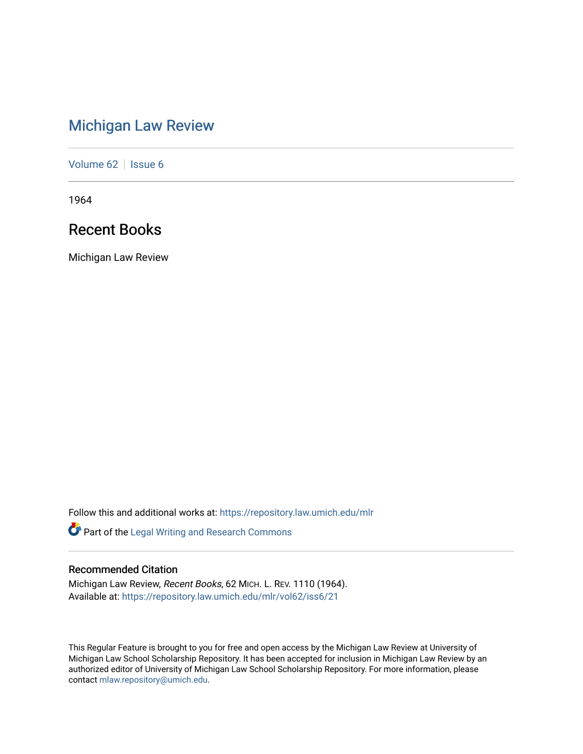# [Michigan Law Review](https://repository.law.umich.edu/mlr)

[Volume 62](https://repository.law.umich.edu/mlr/vol62) | [Issue 6](https://repository.law.umich.edu/mlr/vol62/iss6)

1964

# Recent Books

Michigan Law Review

Follow this and additional works at: [https://repository.law.umich.edu/mlr](https://repository.law.umich.edu/mlr?utm_source=repository.law.umich.edu%2Fmlr%2Fvol62%2Fiss6%2F21&utm_medium=PDF&utm_campaign=PDFCoverPages) 

Part of the [Legal Writing and Research Commons](http://network.bepress.com/hgg/discipline/614?utm_source=repository.law.umich.edu%2Fmlr%2Fvol62%2Fiss6%2F21&utm_medium=PDF&utm_campaign=PDFCoverPages) 

# Recommended Citation

Michigan Law Review, Recent Books, 62 MICH. L. REV. 1110 (1964). Available at: [https://repository.law.umich.edu/mlr/vol62/iss6/21](https://repository.law.umich.edu/mlr/vol62/iss6/21?utm_source=repository.law.umich.edu%2Fmlr%2Fvol62%2Fiss6%2F21&utm_medium=PDF&utm_campaign=PDFCoverPages) 

This Regular Feature is brought to you for free and open access by the Michigan Law Review at University of Michigan Law School Scholarship Repository. It has been accepted for inclusion in Michigan Law Review by an authorized editor of University of Michigan Law School Scholarship Repository. For more information, please contact [mlaw.repository@umich.edu](mailto:mlaw.repository@umich.edu).